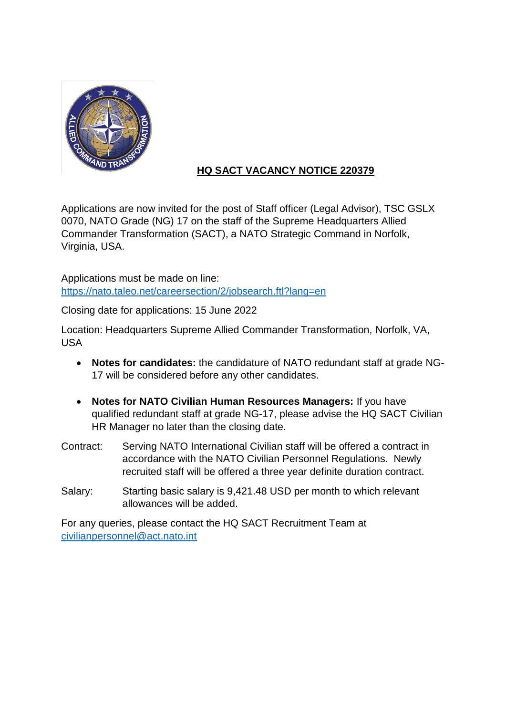

# **HQ SACT VACANCY NOTICE 220379**

Applications are now invited for the post of Staff officer (Legal Advisor), TSC GSLX 0070, NATO Grade (NG) 17 on the staff of the Supreme Headquarters Allied Commander Transformation (SACT), a NATO Strategic Command in Norfolk, Virginia, USA.

Applications must be made on line: <https://nato.taleo.net/careersection/2/jobsearch.ftl?lang=en>

Closing date for applications: 15 June 2022

Location: Headquarters Supreme Allied Commander Transformation, Norfolk, VA, USA

- **Notes for candidates:** the candidature of NATO redundant staff at grade NG-17 will be considered before any other candidates.
- **Notes for NATO Civilian Human Resources Managers:** If you have qualified redundant staff at grade NG-17, please advise the HQ SACT Civilian HR Manager no later than the closing date.
- Contract: Serving NATO International Civilian staff will be offered a contract in accordance with the NATO Civilian Personnel Regulations. Newly recruited staff will be offered a three year definite duration contract.
- Salary: Starting basic salary is 9,421.48 USD per month to which relevant allowances will be added.

For any queries, please contact the HQ SACT Recruitment Team at [civilianpersonnel@act.nato.int](mailto:civilianpersonnel@act.nato.int)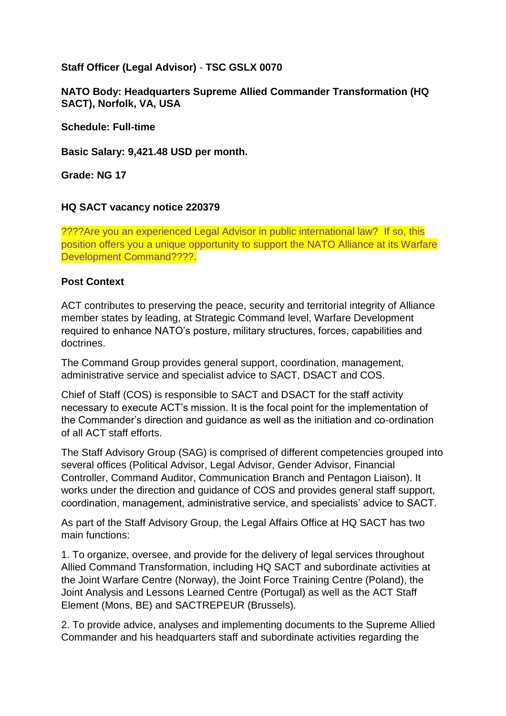### **Staff Officer (Legal Advisor) - TSC GSLX 0070**

### **NATO Body: Headquarters Supreme Allied Commander Transformation (HQ SACT), Norfolk, VA, USA**

**Schedule: Full-time**

**Basic Salary: 9,421.48 USD per month.** 

**Grade: NG 17**

#### **HQ SACT vacancy notice 220379**

????Are you an experienced Legal Advisor in public international law? If so, this position offers you a unique opportunity to support the NATO Alliance at its Warfare Development Command????.

#### **Post Context**

ACT contributes to preserving the peace, security and territorial integrity of Alliance member states by leading, at Strategic Command level, Warfare Development required to enhance NATO's posture, military structures, forces, capabilities and doctrines.

The Command Group provides general support, coordination, management, administrative service and specialist advice to SACT, DSACT and COS.

Chief of Staff (COS) is responsible to SACT and DSACT for the staff activity necessary to execute ACT's mission. It is the focal point for the implementation of the Commander's direction and guidance as well as the initiation and co-ordination of all ACT staff efforts.

The Staff Advisory Group (SAG) is comprised of different competencies grouped into several offices (Political Advisor, Legal Advisor, Gender Advisor, Financial Controller, Command Auditor, Communication Branch and Pentagon Liaison). It works under the direction and guidance of COS and provides general staff support, coordination, management, administrative service, and specialists' advice to SACT.

As part of the Staff Advisory Group, the Legal Affairs Office at HQ SACT has two main functions:

1. To organize, oversee, and provide for the delivery of legal services throughout Allied Command Transformation, including HQ SACT and subordinate activities at the Joint Warfare Centre (Norway), the Joint Force Training Centre (Poland), the Joint Analysis and Lessons Learned Centre (Portugal) as well as the ACT Staff Element (Mons, BE) and SACTREPEUR (Brussels).

2. To provide advice, analyses and implementing documents to the Supreme Allied Commander and his headquarters staff and subordinate activities regarding the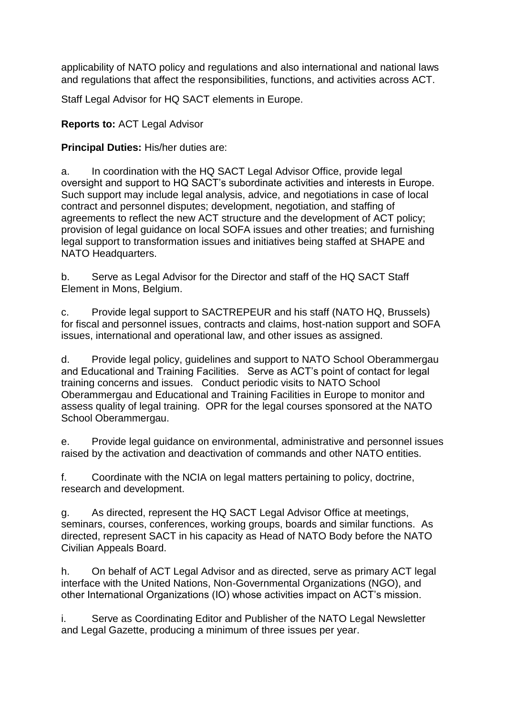applicability of NATO policy and regulations and also international and national laws and regulations that affect the responsibilities, functions, and activities across ACT.

Staff Legal Advisor for HQ SACT elements in Europe.

### **Reports to:** ACT Legal Advisor

### **Principal Duties:** His/her duties are:

a. In coordination with the HQ SACT Legal Advisor Office, provide legal oversight and support to HQ SACT's subordinate activities and interests in Europe. Such support may include legal analysis, advice, and negotiations in case of local contract and personnel disputes; development, negotiation, and staffing of agreements to reflect the new ACT structure and the development of ACT policy; provision of legal guidance on local SOFA issues and other treaties; and furnishing legal support to transformation issues and initiatives being staffed at SHAPE and NATO Headquarters.

b. Serve as Legal Advisor for the Director and staff of the HQ SACT Staff Element in Mons, Belgium.

c. Provide legal support to SACTREPEUR and his staff (NATO HQ, Brussels) for fiscal and personnel issues, contracts and claims, host-nation support and SOFA issues, international and operational law, and other issues as assigned.

d. Provide legal policy, guidelines and support to NATO School Oberammergau and Educational and Training Facilities. Serve as ACT's point of contact for legal training concerns and issues. Conduct periodic visits to NATO School Oberammergau and Educational and Training Facilities in Europe to monitor and assess quality of legal training. OPR for the legal courses sponsored at the NATO School Oberammergau.

e. Provide legal guidance on environmental, administrative and personnel issues raised by the activation and deactivation of commands and other NATO entities.

f. Coordinate with the NCIA on legal matters pertaining to policy, doctrine, research and development.

g. As directed, represent the HQ SACT Legal Advisor Office at meetings, seminars, courses, conferences, working groups, boards and similar functions. As directed, represent SACT in his capacity as Head of NATO Body before the NATO Civilian Appeals Board.

h. On behalf of ACT Legal Advisor and as directed, serve as primary ACT legal interface with the United Nations, Non-Governmental Organizations (NGO), and other International Organizations (IO) whose activities impact on ACT's mission.

i. Serve as Coordinating Editor and Publisher of the NATO Legal Newsletter and Legal Gazette, producing a minimum of three issues per year.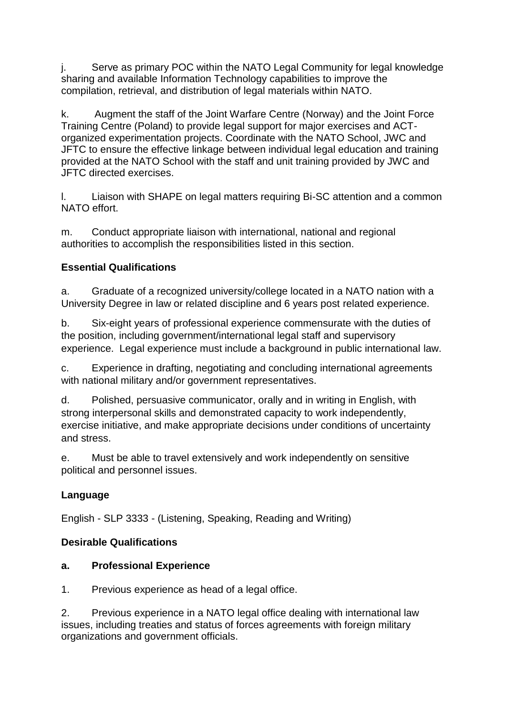j. Serve as primary POC within the NATO Legal Community for legal knowledge sharing and available Information Technology capabilities to improve the compilation, retrieval, and distribution of legal materials within NATO.

k. Augment the staff of the Joint Warfare Centre (Norway) and the Joint Force Training Centre (Poland) to provide legal support for major exercises and ACTorganized experimentation projects. Coordinate with the NATO School, JWC and JFTC to ensure the effective linkage between individual legal education and training provided at the NATO School with the staff and unit training provided by JWC and JFTC directed exercises.

l. Liaison with SHAPE on legal matters requiring Bi-SC attention and a common NATO effort.

m. Conduct appropriate liaison with international, national and regional authorities to accomplish the responsibilities listed in this section.

# **Essential Qualifications**

a. Graduate of a recognized university/college located in a NATO nation with a University Degree in law or related discipline and 6 years post related experience.

b. Six-eight years of professional experience commensurate with the duties of the position, including government/international legal staff and supervisory experience. Legal experience must include a background in public international law.

c. Experience in drafting, negotiating and concluding international agreements with national military and/or government representatives.

d. Polished, persuasive communicator, orally and in writing in English, with strong interpersonal skills and demonstrated capacity to work independently, exercise initiative, and make appropriate decisions under conditions of uncertainty and stress.

e. Must be able to travel extensively and work independently on sensitive political and personnel issues.

# **Language**

English - SLP 3333 - (Listening, Speaking, Reading and Writing)

# **Desirable Qualifications**

# **a. Professional Experience**

1. Previous experience as head of a legal office.

2. Previous experience in a NATO legal office dealing with international law issues, including treaties and status of forces agreements with foreign military organizations and government officials.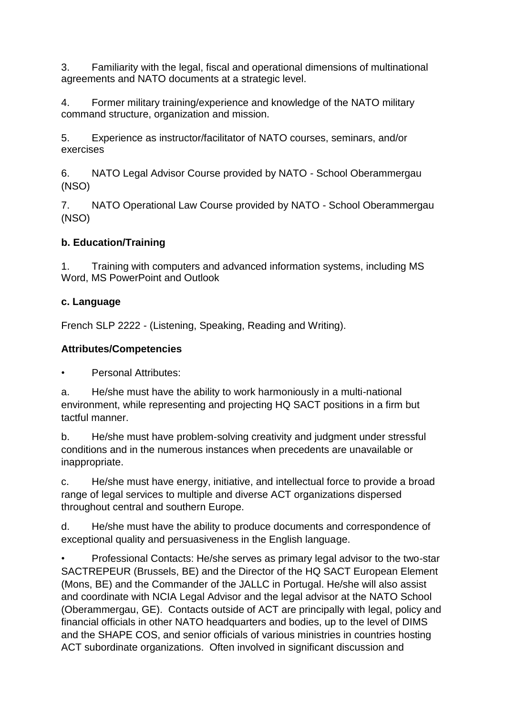3. Familiarity with the legal, fiscal and operational dimensions of multinational agreements and NATO documents at a strategic level.

4. Former military training/experience and knowledge of the NATO military command structure, organization and mission.

5. Experience as instructor/facilitator of NATO courses, seminars, and/or exercises

6. NATO Legal Advisor Course provided by NATO - School Oberammergau (NSO)

7. NATO Operational Law Course provided by NATO - School Oberammergau (NSO)

# **b. Education/Training**

1. Training with computers and advanced information systems, including MS Word, MS PowerPoint and Outlook

# **c. Language**

French SLP 2222 - (Listening, Speaking, Reading and Writing).

# **Attributes/Competencies**

• Personal Attributes:

a. He/she must have the ability to work harmoniously in a multi-national environment, while representing and projecting HQ SACT positions in a firm but tactful manner.

b. He/she must have problem-solving creativity and judgment under stressful conditions and in the numerous instances when precedents are unavailable or inappropriate.

c. He/she must have energy, initiative, and intellectual force to provide a broad range of legal services to multiple and diverse ACT organizations dispersed throughout central and southern Europe.

d. He/she must have the ability to produce documents and correspondence of exceptional quality and persuasiveness in the English language.

• Professional Contacts: He/she serves as primary legal advisor to the two-star SACTREPEUR (Brussels, BE) and the Director of the HQ SACT European Element (Mons, BE) and the Commander of the JALLC in Portugal. He/she will also assist and coordinate with NCIA Legal Advisor and the legal advisor at the NATO School (Oberammergau, GE). Contacts outside of ACT are principally with legal, policy and financial officials in other NATO headquarters and bodies, up to the level of DIMS and the SHAPE COS, and senior officials of various ministries in countries hosting ACT subordinate organizations. Often involved in significant discussion and